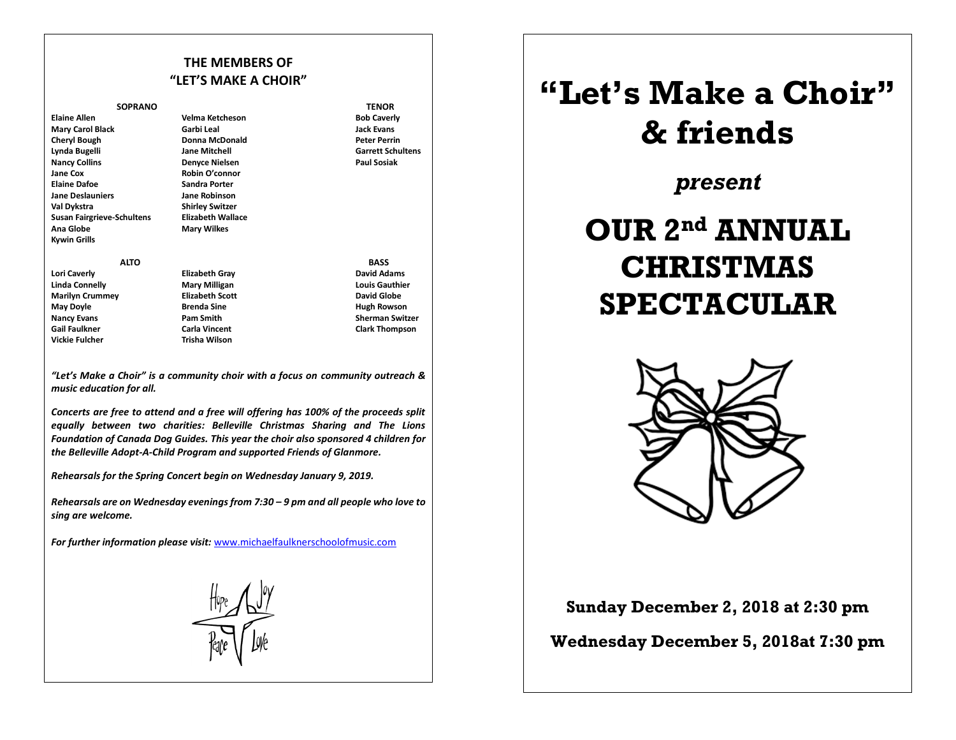## **THE MEMBERS OF "LET'S MAKE A CHOIR"**

## **SOPRANO TENOR**

**Mary Carol Black Garbi Leal Jack Evans Cheryl Bough Donna McDonald Peter Perrin Lynda Bugelli Jane Mitchell Garrett Schultens Nancy Collins Denyce Nielsen Jane Cox Cox Community Community Community Community Community Community Community Community Community Community Community Community Community Community Community Community Community Community Community Community Commun Jane Deslauniers Jane Robinson Val Dykstra Shirley Switzer Susan Fairgrieve-Schultens Elizabeth Wallace** Ana Globe **Mary Wilkes Kywin Grills**

**Elaine Allen Velma Ketcheson Bob Caverly Sandra Porter** 

**Lori Caverly Elizabeth Gray David Adams Linda Connelly Mary Milligan Louis Gauthier Marilyn Crummey Elizabeth Scott David Globe Nancy Evans Pam Smith Sherman Switzer Constant Sherman Switzer Gail Faulkner Carla Vincent Clark Thompson Vickie Fulcher Trisha Wilson** 

 **ALTO BASS** 

**Hugh Rowson** 

*"Let's Make a Choir" is a community choir with a focus on community outreach & music education for all.*

*Concerts are free to attend and a free will offering has 100% of the proceeds split equally between two charities: Belleville Christmas Sharing and The Lions Foundation of Canada Dog Guides. This year the choir also sponsored 4 children for the Belleville Adopt-A-Child Program and supported Friends of Glanmore.*

*Rehearsals for the Spring Concert begin on Wednesday January 9, 2019.*

*Rehearsals are on Wednesday evenings from 7:30 – 9 pm and all people who love to sing are welcome.*

*For further information please visit:* www.michaelfaulknerschoolofmusic.com



## **"Let's Make a Choir" & friends**

*present*

## **OUR 2 nd ANNUAL CHRISTMAS SPECTACULAR**



**Sunday December 2, 2018 at 2:30 pm**

**Wednesday December 5, 2018at 7:30 pm**